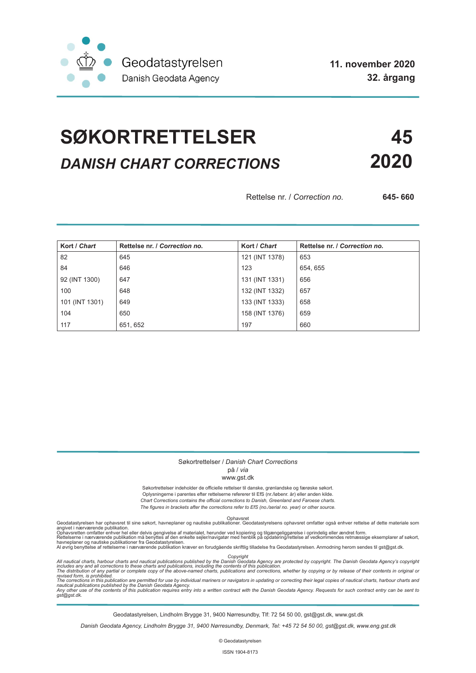

# **SØKORTRETTELSER 45** *DANISH CHART CORRECTIONS* **2020**

Rettelse nr. / *Correction no.* **645- 660**

| Kort / Chart   | Rettelse nr. / Correction no. | Kort / Chart   | Rettelse nr. / Correction no. |
|----------------|-------------------------------|----------------|-------------------------------|
| 82             | 645                           | 121 (INT 1378) | 653                           |
| 84             | 646                           | 123            | 654, 655                      |
| 92 (INT 1300)  | 647                           | 131 (INT 1331) | 656                           |
| 100            | 648                           | 132 (INT 1332) | 657                           |
| 101 (INT 1301) | 649                           | 133 (INT 1333) | 658                           |
| 104            | 650                           | 158 (INT 1376) | 659                           |
| 117            | 651, 652                      | 197            | 660                           |

#### Søkortrettelser / *Danish Chart Corrections* på / *via*

#### www.gst.dk

Søkortrettelser indeholder de officielle rettelser til danske, grønlandske og færøske søkort. Oplysningerne i parentes efter rettelserne refererer til EfS (nr./løbenr. år) eller anden kilde. *Chart Corrections contains the official corrections to Danish, Greenland and Faroese charts. The figures in brackets after the corrections refer to EfS (no./serial no. year) or other source.*

Ophavsret Geodatastyrelsen har ophavsret til sine søkort, havneplaner og nautiske publikationer. Geodatastyrelsens ophavsret omfatter også enhver rettelse af dette materiale som

angivet i nærværende publikation.<br>Ophavsretten omfatter enhver hel eller delvis gengivelse af materialet, herunder ved kopiering og tilgængeliggørelse i oprindelig eller ændret form.<br>Rettelserne i nærværende publikation må

Copyright<br>includes any and all corrections to these charts and publications published by the Danish Agency are protected by copyright. The Danish Geodata Agency's copyright<br>includes any and all corrections to these charts

Geodatastyrelsen, Lindholm Brygge 31, 9400 Nørresundby, Tlf: 72 54 50 00, gst@gst.dk, www.gst.dk

*Danish Geodata Agency, Lindholm Brygge 31, 9400 Nørresundby, Denmark, Tel: +45 72 54 50 00, gst@gst.dk, www.eng.gst.dk*

© Geodatastyrelsen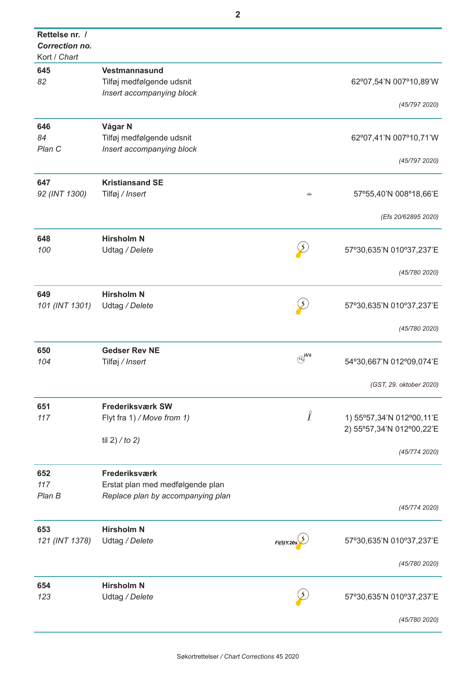| Vestmannasund                     |                                                                                                                                                                            |                           |
|-----------------------------------|----------------------------------------------------------------------------------------------------------------------------------------------------------------------------|---------------------------|
| Tilføj medfølgende udsnit         |                                                                                                                                                                            | 62°07,54'N 007°10,89'W    |
| Insert accompanying block         |                                                                                                                                                                            |                           |
|                                   |                                                                                                                                                                            | (45/7972020)              |
| Vágar N                           |                                                                                                                                                                            |                           |
|                                   |                                                                                                                                                                            | 62°07,41'N 007°10,71'W    |
| Insert accompanying block         |                                                                                                                                                                            |                           |
|                                   |                                                                                                                                                                            | (45/797 2020)             |
| <b>Kristiansand SE</b>            |                                                                                                                                                                            |                           |
| Tilføj / Insert                   | $+$                                                                                                                                                                        | 57°55,40'N 008°18,66'E    |
|                                   |                                                                                                                                                                            |                           |
|                                   |                                                                                                                                                                            | (Efs 20/62895 2020)       |
|                                   |                                                                                                                                                                            |                           |
|                                   |                                                                                                                                                                            | 57°30,635'N 010°37,237'E  |
|                                   |                                                                                                                                                                            |                           |
|                                   |                                                                                                                                                                            | (45/780 2020)             |
| <b>Hirsholm N</b>                 |                                                                                                                                                                            |                           |
|                                   |                                                                                                                                                                            | 57°30,635'N 010°37,237'E  |
|                                   |                                                                                                                                                                            |                           |
|                                   |                                                                                                                                                                            | (45/780 2020)             |
|                                   |                                                                                                                                                                            |                           |
|                                   |                                                                                                                                                                            | 54°30,667'N 012°09,074'E  |
|                                   |                                                                                                                                                                            |                           |
|                                   |                                                                                                                                                                            | (GST, 29. oktober 2020)   |
|                                   |                                                                                                                                                                            |                           |
| Flyt fra 1) / Move from 1)        | $\int$                                                                                                                                                                     | 1) 55°57,34'N 012°00,11'E |
|                                   |                                                                                                                                                                            | 2) 55°57,34'N 012°00,22'E |
| til 2) / to 2)                    |                                                                                                                                                                            |                           |
|                                   |                                                                                                                                                                            | (45/774 2020)             |
| Frederiksværk                     |                                                                                                                                                                            |                           |
| Erstat plan med medfølgende plan  |                                                                                                                                                                            |                           |
| Replace plan by accompanying plan |                                                                                                                                                                            |                           |
|                                   |                                                                                                                                                                            | (45/774 2020)             |
| <b>Hirsholm N</b>                 |                                                                                                                                                                            |                           |
| Udtag / Delete                    |                                                                                                                                                                            | 57°30,635'N 010°37,237'E  |
|                                   |                                                                                                                                                                            |                           |
|                                   |                                                                                                                                                                            | (45/780 2020)             |
| <b>Hirsholm N</b>                 |                                                                                                                                                                            |                           |
|                                   |                                                                                                                                                                            | 57°30,635'N 010°37,237'E  |
|                                   |                                                                                                                                                                            |                           |
|                                   |                                                                                                                                                                            | (45/780 2020)             |
|                                   | Tilføj medfølgende udsnit<br><b>Hirsholm N</b><br>Udtag / Delete<br>Udtag / Delete<br><b>Gedser Rev NE</b><br>Tilføj / Insert<br><b>Frederiksværk SW</b><br>Udtag / Delete | Wk                        |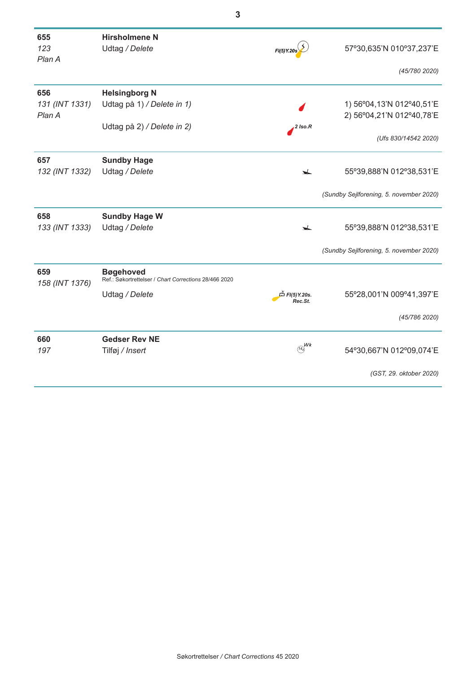| 655<br>123               | <b>Hirsholmene N</b><br>Udtag / Delete                                    |                                                          | 57°30,635'N 010°37,237'E                                 |
|--------------------------|---------------------------------------------------------------------------|----------------------------------------------------------|----------------------------------------------------------|
| Plan A                   |                                                                           | FI(5) Y.20s                                              |                                                          |
|                          |                                                                           |                                                          | (45/780 2020)                                            |
| 656                      | <b>Helsingborg N</b>                                                      |                                                          |                                                          |
| 131 (INT 1331)<br>Plan A | Udtag på 1) / Delete in 1)                                                |                                                          | 1) 56°04, 13'N 012°40, 51'E<br>2) 56°04,21'N 012°40,78'E |
|                          | Udtag på 2) / Delete in 2)                                                | $\sqrt{2}$ Iso.R                                         |                                                          |
|                          |                                                                           |                                                          | (Ufs 830/14542 2020)                                     |
| 657                      | <b>Sundby Hage</b>                                                        |                                                          |                                                          |
| 132 (INT 1332)           | Udtag / Delete                                                            | $\overline{\phantom{a}}$                                 | 55°39,888'N 012°38,531'E                                 |
|                          |                                                                           |                                                          | (Sundby Sejlforening, 5. november 2020)                  |
| 658                      | <b>Sundby Hage W</b>                                                      |                                                          |                                                          |
| 133 (INT 1333)           | Udtag / Delete                                                            | $\overline{\phantom{a}}$                                 | 55°39,888'N 012°38,531'E                                 |
|                          |                                                                           |                                                          | (Sundby Sejlforening, 5. november 2020)                  |
| 659<br>158 (INT 1376)    | <b>Bøgehoved</b><br>Ref.: Søkortrettelser / Chart Corrections 28/466 2020 |                                                          |                                                          |
|                          | Udtag / Delete                                                            | $\stackrel{\times}{\rightarrow}$ FI(5) Y.20s.<br>Rec.St. | 55°28,001'N 009°41,397'E                                 |
|                          |                                                                           |                                                          | (45/786 2020)                                            |
| 660                      | <b>Gedser Rev NE</b>                                                      |                                                          |                                                          |
| 197                      | Tilføj / Insert                                                           | $W_k$<br>14 <sub>4</sub>                                 | 54°30,667'N 012°09,074'E                                 |
|                          |                                                                           |                                                          | (GST, 29. oktober 2020)                                  |
|                          |                                                                           |                                                          |                                                          |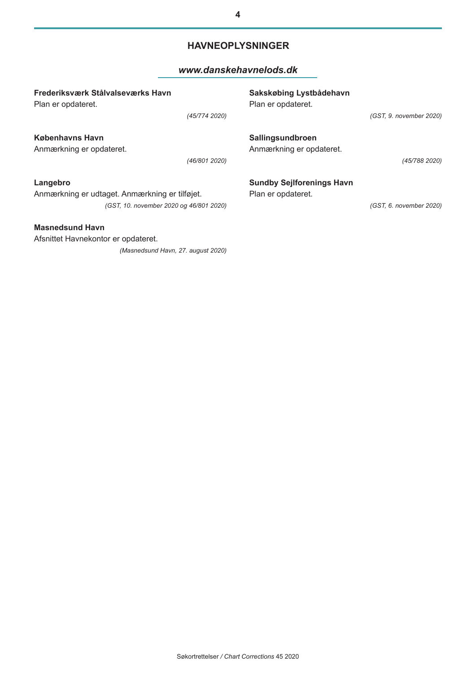## **HAVNEOPLYSNINGER**

### *www.danskehavnelods.dk*

| Frederiksværk Stålvalseværks Havn<br>Plan er opdateret.                                             |               | Sakskøbing Lystbådehavn<br>Plan er opdateret.          |                         |
|-----------------------------------------------------------------------------------------------------|---------------|--------------------------------------------------------|-------------------------|
|                                                                                                     | (45/774 2020) |                                                        | (GST, 9. november 2020) |
| Københavns Havn<br>Anmærkning er opdateret.                                                         |               | Sallingsundbroen<br>Anmærkning er opdateret.           |                         |
|                                                                                                     | (46/801 2020) |                                                        | (45/788 2020)           |
| Langebro<br>Anmærkning er udtaget. Anmærkning er tilføjet.                                          |               | <b>Sundby Sejlforenings Havn</b><br>Plan er opdateret. |                         |
| (GST, 10. november 2020 og 46/801 2020)                                                             |               |                                                        | (GST, 6. november 2020) |
| <b>Masnedsund Havn</b><br>Afsnittet Havnekontor er opdateret.<br>(Masnedsund Havn, 27. august 2020) |               |                                                        |                         |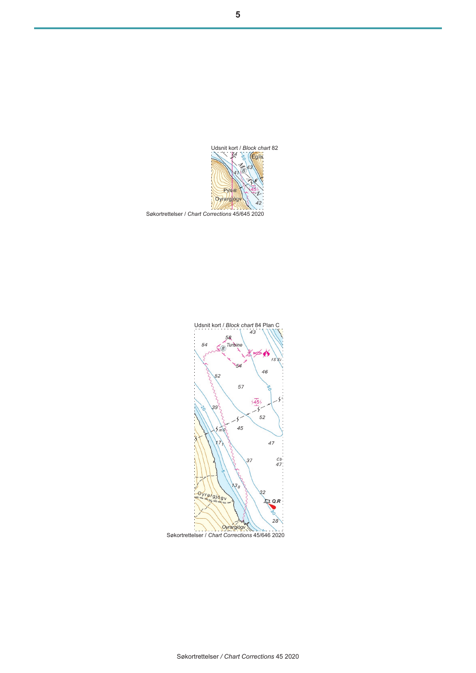

Udsnit kort / *Block chart* 84 Plan C 58  $58$ <br> $\frac{58}{30}$  Turbine 54  $54$ 46  $52$ 57  $5455$  $392$  $\frac{1}{2}$ Ņ 52 45  $5mS$  $\overline{\mathbf{y}}$ 47  $\frac{Cb}{47}$  $37$ 138  $Oyrafgjogv$  $L2Q.R$  $28$ Oyrargjógv U. Søkortrettelser / *Chart Corrections* 45/646 2020